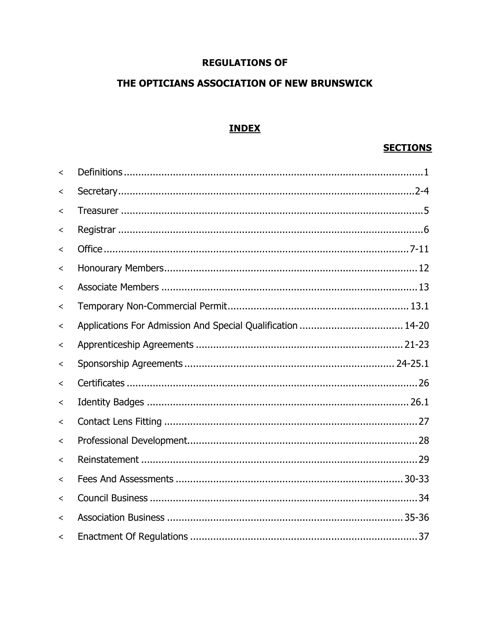# **REGULATIONS OF**

# THE OPTICIANS ASSOCIATION OF NEW BRUNSWICK

# **INDEX**

# **SECTIONS**

| $\overline{\phantom{0}}$ |                                                             |  |
|--------------------------|-------------------------------------------------------------|--|
| ≺                        |                                                             |  |
| ≺                        |                                                             |  |
| ≺                        |                                                             |  |
| $\,<\,$                  |                                                             |  |
| $\,<\,$                  |                                                             |  |
| $\,<\,$                  |                                                             |  |
| <                        |                                                             |  |
| $\,<\,$                  | Applications For Admission And Special Qualification  14-20 |  |
| $\,<\,$                  |                                                             |  |
| $\,<\,$                  |                                                             |  |
| $\,<\,$                  |                                                             |  |
| $\,<\,$                  |                                                             |  |
| $\,<\,$                  |                                                             |  |
| $\overline{\phantom{0}}$ |                                                             |  |
| $\,<\,$                  |                                                             |  |
| $\overline{\phantom{a}}$ |                                                             |  |
| $\,<\,$                  |                                                             |  |
| $\,<\,$                  |                                                             |  |
| $\overline{\phantom{0}}$ |                                                             |  |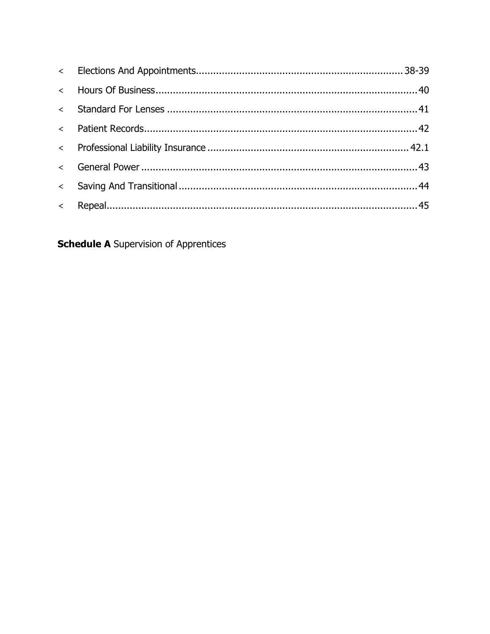**Schedule A** Supervision of Apprentices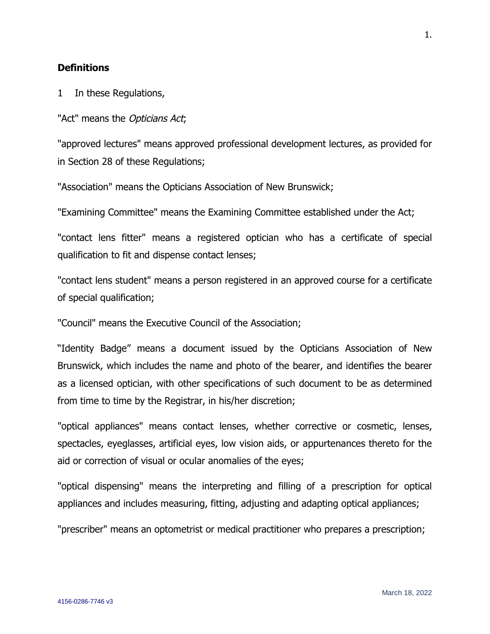## **Definitions**

1 In these Regulations,

"Act" means the Opticians Act;

"approved lectures" means approved professional development lectures, as provided for in Section 28 of these Regulations;

"Association" means the Opticians Association of New Brunswick;

"Examining Committee" means the Examining Committee established under the Act;

"contact lens fitter" means a registered optician who has a certificate of special qualification to fit and dispense contact lenses;

"contact lens student" means a person registered in an approved course for a certificate of special qualification;

"Council" means the Executive Council of the Association;

"Identity Badge" means a document issued by the Opticians Association of New Brunswick, which includes the name and photo of the bearer, and identifies the bearer as a licensed optician, with other specifications of such document to be as determined from time to time by the Registrar, in his/her discretion;

"optical appliances" means contact lenses, whether corrective or cosmetic, lenses, spectacles, eyeglasses, artificial eyes, low vision aids, or appurtenances thereto for the aid or correction of visual or ocular anomalies of the eyes;

"optical dispensing" means the interpreting and filling of a prescription for optical appliances and includes measuring, fitting, adjusting and adapting optical appliances;

"prescriber" means an optometrist or medical practitioner who prepares a prescription;

1.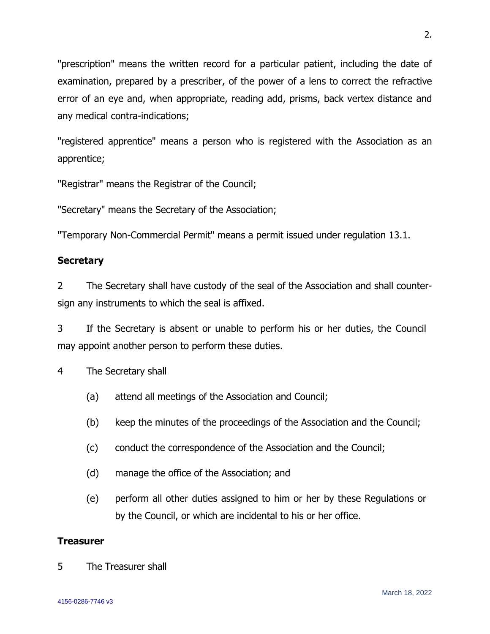"prescription" means the written record for a particular patient, including the date of examination, prepared by a prescriber, of the power of a lens to correct the refractive error of an eye and, when appropriate, reading add, prisms, back vertex distance and any medical contra-indications;

"registered apprentice" means a person who is registered with the Association as an apprentice;

"Registrar" means the Registrar of the Council;

"Secretary" means the Secretary of the Association;

"Temporary Non-Commercial Permit" means a permit issued under regulation 13.1.

# **Secretary**

2 The Secretary shall have custody of the seal of the Association and shall countersign any instruments to which the seal is affixed.

3 If the Secretary is absent or unable to perform his or her duties, the Council may appoint another person to perform these duties.

4 The Secretary shall

- (a) attend all meetings of the Association and Council;
- (b) keep the minutes of the proceedings of the Association and the Council;
- (c) conduct the correspondence of the Association and the Council;
- (d) manage the office of the Association; and
- (e) perform all other duties assigned to him or her by these Regulations or by the Council, or which are incidental to his or her office.

# **Treasurer**

5 The Treasurer shall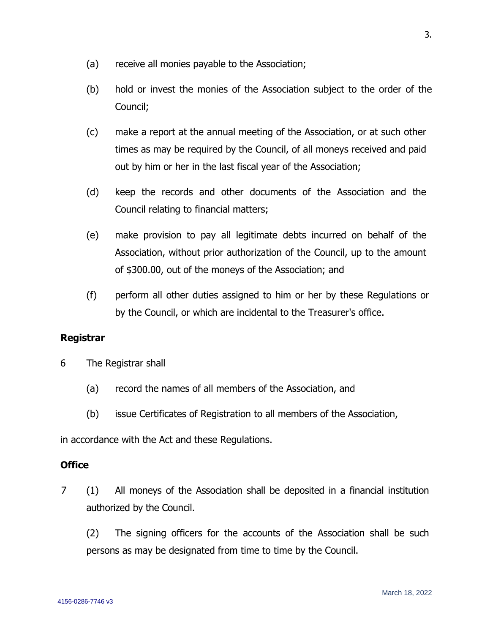- (a) receive all monies payable to the Association;
- (b) hold or invest the monies of the Association subject to the order of the Council;
- (c) make a report at the annual meeting of the Association, or at such other times as may be required by the Council, of all moneys received and paid out by him or her in the last fiscal year of the Association;
- (d) keep the records and other documents of the Association and the Council relating to financial matters;
- (e) make provision to pay all legitimate debts incurred on behalf of the Association, without prior authorization of the Council, up to the amount of \$300.00, out of the moneys of the Association; and
- (f) perform all other duties assigned to him or her by these Regulations or by the Council, or which are incidental to the Treasurer's office.

# **Registrar**

- 6 The Registrar shall
	- (a) record the names of all members of the Association, and
	- (b) issue Certificates of Registration to all members of the Association,

in accordance with the Act and these Regulations.

### **Office**

- 7 (1) All moneys of the Association shall be deposited in a financial institution authorized by the Council.
	- (2) The signing officers for the accounts of the Association shall be such persons as may be designated from time to time by the Council.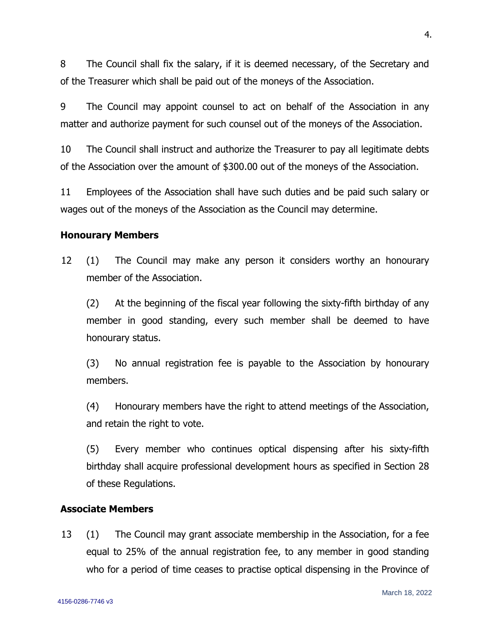8 The Council shall fix the salary, if it is deemed necessary, of the Secretary and of the Treasurer which shall be paid out of the moneys of the Association.

9 The Council may appoint counsel to act on behalf of the Association in any matter and authorize payment for such counsel out of the moneys of the Association.

10 The Council shall instruct and authorize the Treasurer to pay all legitimate debts of the Association over the amount of \$300.00 out of the moneys of the Association.

11 Employees of the Association shall have such duties and be paid such salary or wages out of the moneys of the Association as the Council may determine.

#### **Honourary Members**

12 (1) The Council may make any person it considers worthy an honourary member of the Association.

(2) At the beginning of the fiscal year following the sixty-fifth birthday of any member in good standing, every such member shall be deemed to have honourary status.

(3) No annual registration fee is payable to the Association by honourary members.

(4) Honourary members have the right to attend meetings of the Association, and retain the right to vote.

(5) Every member who continues optical dispensing after his sixty-fifth birthday shall acquire professional development hours as specified in Section 28 of these Regulations.

### **Associate Members**

13 (1) The Council may grant associate membership in the Association, for a fee equal to 25% of the annual registration fee, to any member in good standing who for a period of time ceases to practise optical dispensing in the Province of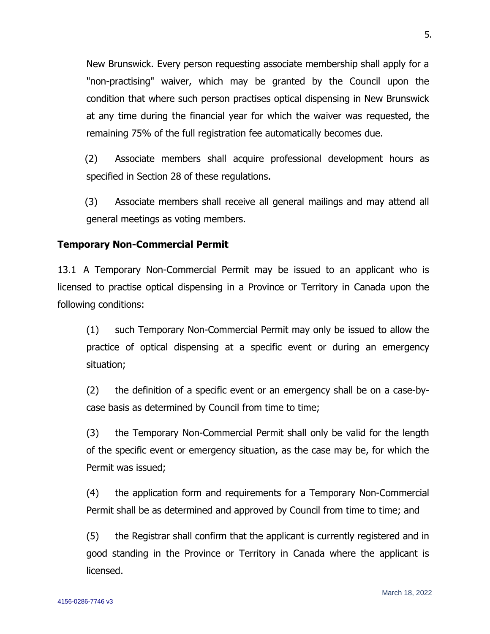New Brunswick. Every person requesting associate membership shall apply for a "non-practising" waiver, which may be granted by the Council upon the condition that where such person practises optical dispensing in New Brunswick at any time during the financial year for which the waiver was requested, the remaining 75% of the full registration fee automatically becomes due.

(2) Associate members shall acquire professional development hours as specified in Section 28 of these regulations.

(3) Associate members shall receive all general mailings and may attend all general meetings as voting members.

### **Temporary Non-Commercial Permit**

13.1 A Temporary Non-Commercial Permit may be issued to an applicant who is licensed to practise optical dispensing in a Province or Territory in Canada upon the following conditions:

(1) such Temporary Non-Commercial Permit may only be issued to allow the practice of optical dispensing at a specific event or during an emergency situation;

(2) the definition of a specific event or an emergency shall be on a case-bycase basis as determined by Council from time to time;

(3) the Temporary Non-Commercial Permit shall only be valid for the length of the specific event or emergency situation, as the case may be, for which the Permit was issued;

(4) the application form and requirements for a Temporary Non-Commercial Permit shall be as determined and approved by Council from time to time; and

(5) the Registrar shall confirm that the applicant is currently registered and in good standing in the Province or Territory in Canada where the applicant is licensed.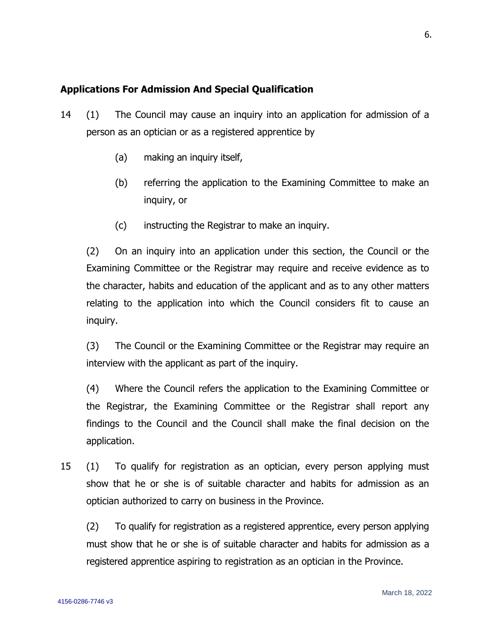# **Applications For Admission And Special Qualification**

- 14 (1) The Council may cause an inquiry into an application for admission of a person as an optician or as a registered apprentice by
	- (a) making an inquiry itself,
	- (b) referring the application to the Examining Committee to make an inquiry, or
	- (c) instructing the Registrar to make an inquiry.

(2) On an inquiry into an application under this section, the Council or the Examining Committee or the Registrar may require and receive evidence as to the character, habits and education of the applicant and as to any other matters relating to the application into which the Council considers fit to cause an inquiry.

(3) The Council or the Examining Committee or the Registrar may require an interview with the applicant as part of the inquiry.

(4) Where the Council refers the application to the Examining Committee or the Registrar, the Examining Committee or the Registrar shall report any findings to the Council and the Council shall make the final decision on the application.

15 (1) To qualify for registration as an optician, every person applying must show that he or she is of suitable character and habits for admission as an optician authorized to carry on business in the Province.

(2) To qualify for registration as a registered apprentice, every person applying must show that he or she is of suitable character and habits for admission as a registered apprentice aspiring to registration as an optician in the Province.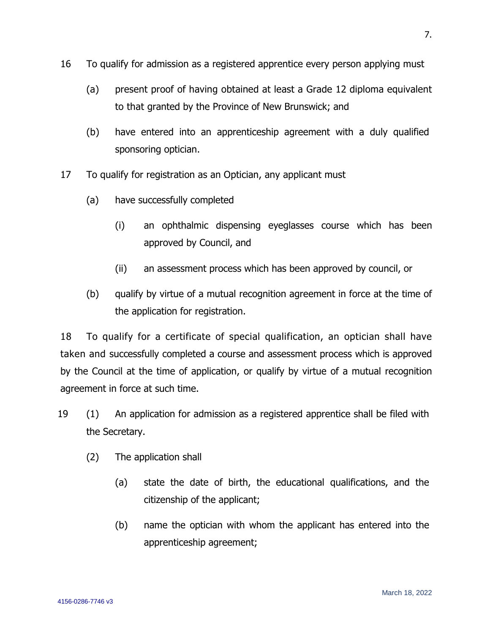- 16 To qualify for admission as a registered apprentice every person applying must
	- (a) present proof of having obtained at least a Grade 12 diploma equivalent to that granted by the Province of New Brunswick; and
	- (b) have entered into an apprenticeship agreement with a duly qualified sponsoring optician.
- 17 To qualify for registration as an Optician, any applicant must
	- (a) have successfully completed
		- (i) an ophthalmic dispensing eyeglasses course which has been approved by Council, and
		- (ii) an assessment process which has been approved by council, or
	- (b) qualify by virtue of a mutual recognition agreement in force at the time of the application for registration.

18 To qualify for a certificate of special qualification, an optician shall have taken and successfully completed a course and assessment process which is approved by the Council at the time of application, or qualify by virtue of a mutual recognition agreement in force at such time.

- 19 (1) An application for admission as a registered apprentice shall be filed with the Secretary.
	- (2) The application shall
		- (a) state the date of birth, the educational qualifications, and the citizenship of the applicant;
		- (b) name the optician with whom the applicant has entered into the apprenticeship agreement;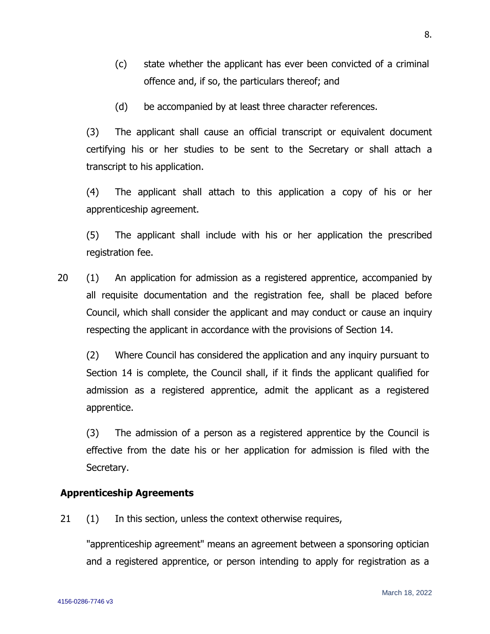- (c) state whether the applicant has ever been convicted of a criminal offence and, if so, the particulars thereof; and
- (d) be accompanied by at least three character references.

(3) The applicant shall cause an official transcript or equivalent document certifying his or her studies to be sent to the Secretary or shall attach a transcript to his application.

(4) The applicant shall attach to this application a copy of his or her apprenticeship agreement.

(5) The applicant shall include with his or her application the prescribed registration fee.

20 (1) An application for admission as a registered apprentice, accompanied by all requisite documentation and the registration fee, shall be placed before Council, which shall consider the applicant and may conduct or cause an inquiry respecting the applicant in accordance with the provisions of Section 14.

(2) Where Council has considered the application and any inquiry pursuant to Section 14 is complete, the Council shall, if it finds the applicant qualified for admission as a registered apprentice, admit the applicant as a registered apprentice.

(3) The admission of a person as a registered apprentice by the Council is effective from the date his or her application for admission is filed with the Secretary.

### **Apprenticeship Agreements**

21 (1) In this section, unless the context otherwise requires,

"apprenticeship agreement" means an agreement between a sponsoring optician and a registered apprentice, or person intending to apply for registration as a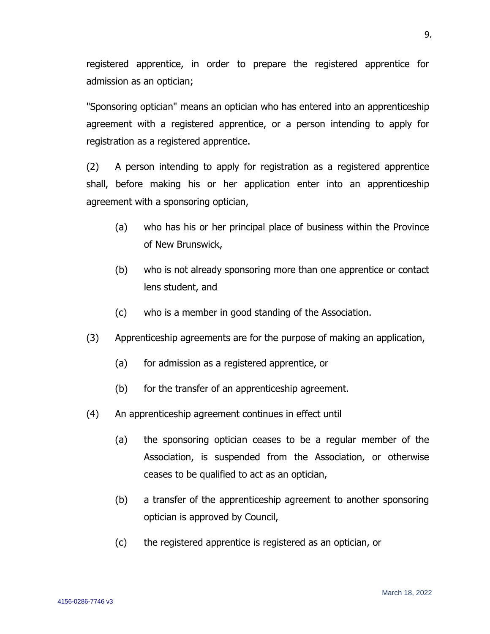registered apprentice, in order to prepare the registered apprentice for admission as an optician;

"Sponsoring optician" means an optician who has entered into an apprenticeship agreement with a registered apprentice, or a person intending to apply for registration as a registered apprentice.

(2) A person intending to apply for registration as a registered apprentice shall, before making his or her application enter into an apprenticeship agreement with a sponsoring optician,

- (a) who has his or her principal place of business within the Province of New Brunswick,
- (b) who is not already sponsoring more than one apprentice or contact lens student, and
- (c) who is a member in good standing of the Association.
- (3) Apprenticeship agreements are for the purpose of making an application,
	- (a) for admission as a registered apprentice, or
	- (b) for the transfer of an apprenticeship agreement.
- (4) An apprenticeship agreement continues in effect until
	- (a) the sponsoring optician ceases to be a regular member of the Association, is suspended from the Association, or otherwise ceases to be qualified to act as an optician,
	- (b) a transfer of the apprenticeship agreement to another sponsoring optician is approved by Council,
	- (c) the registered apprentice is registered as an optician, or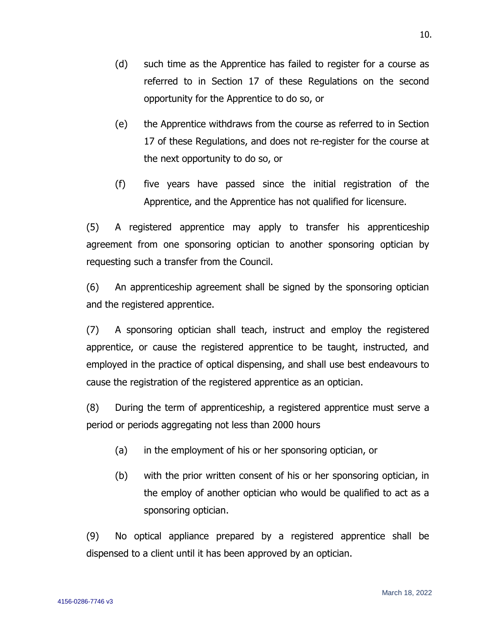- (e) the Apprentice withdraws from the course as referred to in Section 17 of these Regulations, and does not re-register for the course at the next opportunity to do so, or
- (f) five years have passed since the initial registration of the Apprentice, and the Apprentice has not qualified for licensure.

(5) A registered apprentice may apply to transfer his apprenticeship agreement from one sponsoring optician to another sponsoring optician by requesting such a transfer from the Council.

(6) An apprenticeship agreement shall be signed by the sponsoring optician and the registered apprentice.

(7) A sponsoring optician shall teach, instruct and employ the registered apprentice, or cause the registered apprentice to be taught, instructed, and employed in the practice of optical dispensing, and shall use best endeavours to cause the registration of the registered apprentice as an optician.

(8) During the term of apprenticeship, a registered apprentice must serve a period or periods aggregating not less than 2000 hours

- (a) in the employment of his or her sponsoring optician, or
- (b) with the prior written consent of his or her sponsoring optician, in the employ of another optician who would be qualified to act as a sponsoring optician.

(9) No optical appliance prepared by a registered apprentice shall be dispensed to a client until it has been approved by an optician.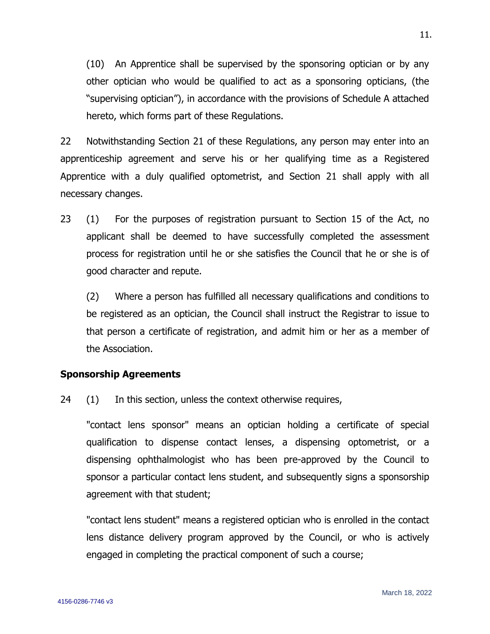(10) An Apprentice shall be supervised by the sponsoring optician or by any other optician who would be qualified to act as a sponsoring opticians, (the "supervising optician"), in accordance with the provisions of Schedule A attached hereto, which forms part of these Regulations.

22 Notwithstanding Section 21 of these Regulations, any person may enter into an apprenticeship agreement and serve his or her qualifying time as a Registered Apprentice with a duly qualified optometrist, and Section 21 shall apply with all necessary changes.

23 (1) For the purposes of registration pursuant to Section 15 of the Act, no applicant shall be deemed to have successfully completed the assessment process for registration until he or she satisfies the Council that he or she is of good character and repute.

(2) Where a person has fulfilled all necessary qualifications and conditions to be registered as an optician, the Council shall instruct the Registrar to issue to that person a certificate of registration, and admit him or her as a member of the Association.

### **Sponsorship Agreements**

24 (1) In this section, unless the context otherwise requires,

"contact lens sponsor" means an optician holding a certificate of special qualification to dispense contact lenses, a dispensing optometrist, or a dispensing ophthalmologist who has been pre-approved by the Council to sponsor a particular contact lens student, and subsequently signs a sponsorship agreement with that student;

"contact lens student" means a registered optician who is enrolled in the contact lens distance delivery program approved by the Council, or who is actively engaged in completing the practical component of such a course;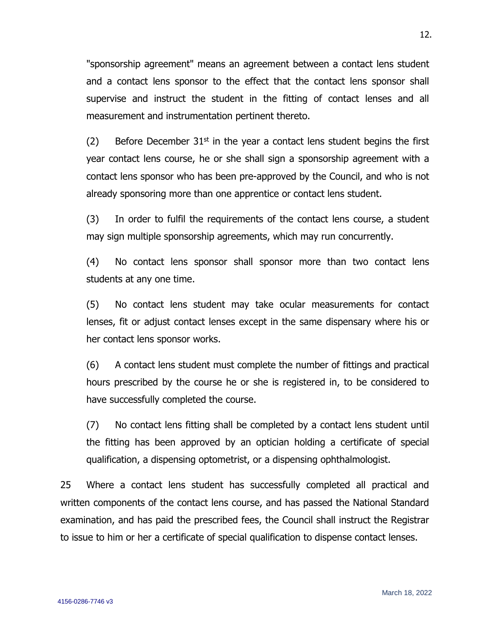"sponsorship agreement" means an agreement between a contact lens student and a contact lens sponsor to the effect that the contact lens sponsor shall supervise and instruct the student in the fitting of contact lenses and all measurement and instrumentation pertinent thereto.

(2) Before December  $31<sup>st</sup>$  in the year a contact lens student begins the first year contact lens course, he or she shall sign a sponsorship agreement with a contact lens sponsor who has been pre-approved by the Council, and who is not already sponsoring more than one apprentice or contact lens student.

(3) In order to fulfil the requirements of the contact lens course, a student may sign multiple sponsorship agreements, which may run concurrently.

(4) No contact lens sponsor shall sponsor more than two contact lens students at any one time.

(5) No contact lens student may take ocular measurements for contact lenses, fit or adjust contact lenses except in the same dispensary where his or her contact lens sponsor works.

(6) A contact lens student must complete the number of fittings and practical hours prescribed by the course he or she is registered in, to be considered to have successfully completed the course.

(7) No contact lens fitting shall be completed by a contact lens student until the fitting has been approved by an optician holding a certificate of special qualification, a dispensing optometrist, or a dispensing ophthalmologist.

25 Where a contact lens student has successfully completed all practical and written components of the contact lens course, and has passed the National Standard examination, and has paid the prescribed fees, the Council shall instruct the Registrar to issue to him or her a certificate of special qualification to dispense contact lenses.

March 18, 2022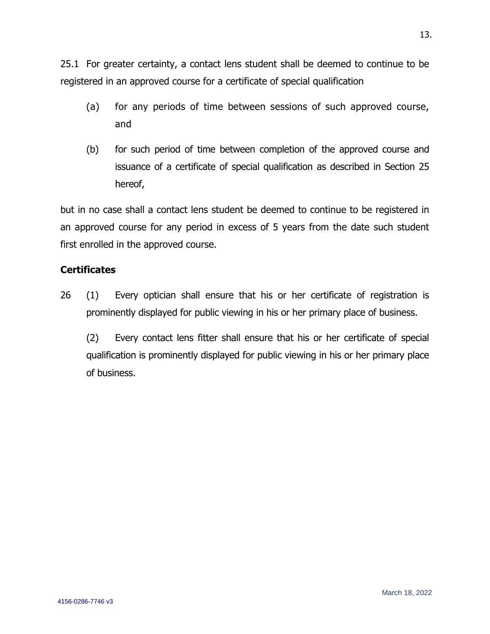25.1 For greater certainty, a contact lens student shall be deemed to continue to be registered in an approved course for a certificate of special qualification

- (a) for any periods of time between sessions of such approved course, and
- (b) for such period of time between completion of the approved course and issuance of a certificate of special qualification as described in Section 25 hereof,

but in no case shall a contact lens student be deemed to continue to be registered in an approved course for any period in excess of 5 years from the date such student first enrolled in the approved course.

# **Certificates**

26 (1) Every optician shall ensure that his or her certificate of registration is prominently displayed for public viewing in his or her primary place of business.

(2) Every contact lens fitter shall ensure that his or her certificate of special qualification is prominently displayed for public viewing in his or her primary place of business.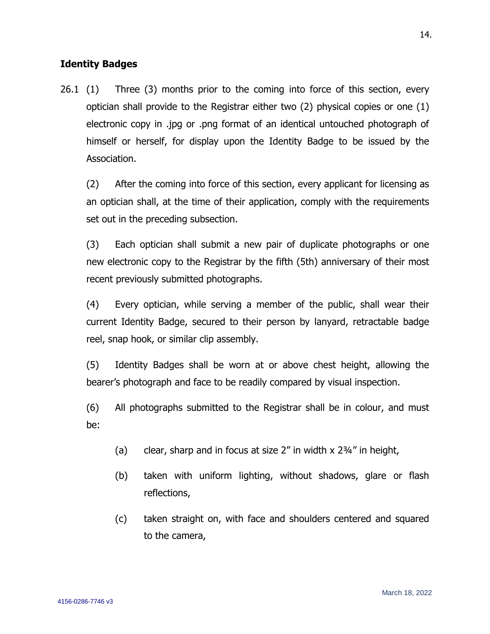# **Identity Badges**

26.1 (1) Three (3) months prior to the coming into force of this section, every optician shall provide to the Registrar either two (2) physical copies or one (1) electronic copy in .jpg or .png format of an identical untouched photograph of himself or herself, for display upon the Identity Badge to be issued by the Association.

(2) After the coming into force of this section, every applicant for licensing as an optician shall, at the time of their application, comply with the requirements set out in the preceding subsection.

(3) Each optician shall submit a new pair of duplicate photographs or one new electronic copy to the Registrar by the fifth (5th) anniversary of their most recent previously submitted photographs.

(4) Every optician, while serving a member of the public, shall wear their current Identity Badge, secured to their person by lanyard, retractable badge reel, snap hook, or similar clip assembly.

(5) Identity Badges shall be worn at or above chest height, allowing the bearer's photograph and face to be readily compared by visual inspection.

(6) All photographs submitted to the Registrar shall be in colour, and must be:

- (a) clear, sharp and in focus at size 2" in width x 2¾" in height,
- (b) taken with uniform lighting, without shadows, glare or flash reflections,
- (c) taken straight on, with face and shoulders centered and squared to the camera,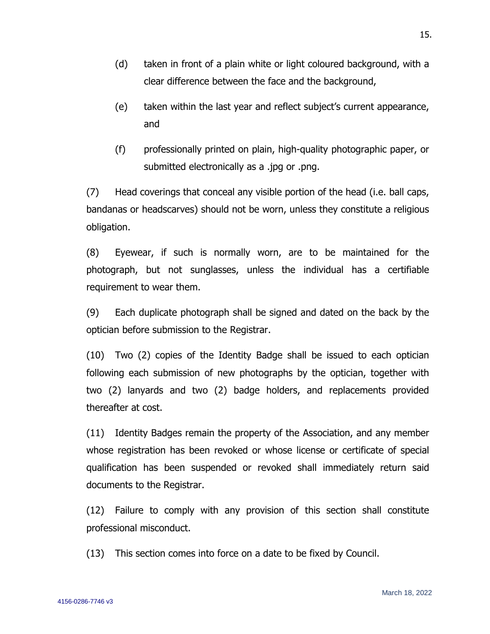- (d) taken in front of a plain white or light coloured background, with a clear difference between the face and the background,
- (e) taken within the last year and reflect subject's current appearance, and
- (f) professionally printed on plain, high-quality photographic paper, or submitted electronically as a .jpg or .png.

(7) Head coverings that conceal any visible portion of the head (i.e. ball caps, bandanas or headscarves) should not be worn, unless they constitute a religious obligation.

(8) Eyewear, if such is normally worn, are to be maintained for the photograph, but not sunglasses, unless the individual has a certifiable requirement to wear them.

(9) Each duplicate photograph shall be signed and dated on the back by the optician before submission to the Registrar.

(10) Two (2) copies of the Identity Badge shall be issued to each optician following each submission of new photographs by the optician, together with two (2) lanyards and two (2) badge holders, and replacements provided thereafter at cost.

(11) Identity Badges remain the property of the Association, and any member whose registration has been revoked or whose license or certificate of special qualification has been suspended or revoked shall immediately return said documents to the Registrar.

(12) Failure to comply with any provision of this section shall constitute professional misconduct.

(13) This section comes into force on a date to be fixed by Council.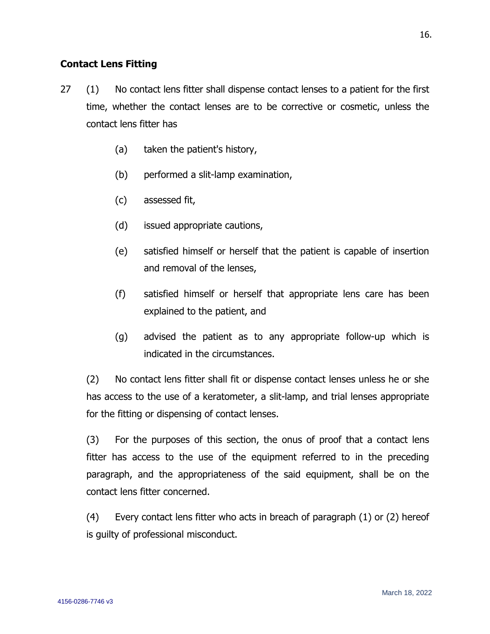# **Contact Lens Fitting**

- 27 (1) No contact lens fitter shall dispense contact lenses to a patient for the first time, whether the contact lenses are to be corrective or cosmetic, unless the contact lens fitter has
	- (a) taken the patient's history,
	- (b) performed a slit-lamp examination,
	- (c) assessed fit,
	- (d) issued appropriate cautions,
	- (e) satisfied himself or herself that the patient is capable of insertion and removal of the lenses,
	- (f) satisfied himself or herself that appropriate lens care has been explained to the patient, and
	- (g) advised the patient as to any appropriate follow-up which is indicated in the circumstances.

(2) No contact lens fitter shall fit or dispense contact lenses unless he or she has access to the use of a keratometer, a slit-lamp, and trial lenses appropriate for the fitting or dispensing of contact lenses.

(3) For the purposes of this section, the onus of proof that a contact lens fitter has access to the use of the equipment referred to in the preceding paragraph, and the appropriateness of the said equipment, shall be on the contact lens fitter concerned.

(4) Every contact lens fitter who acts in breach of paragraph (1) or (2) hereof is guilty of professional misconduct.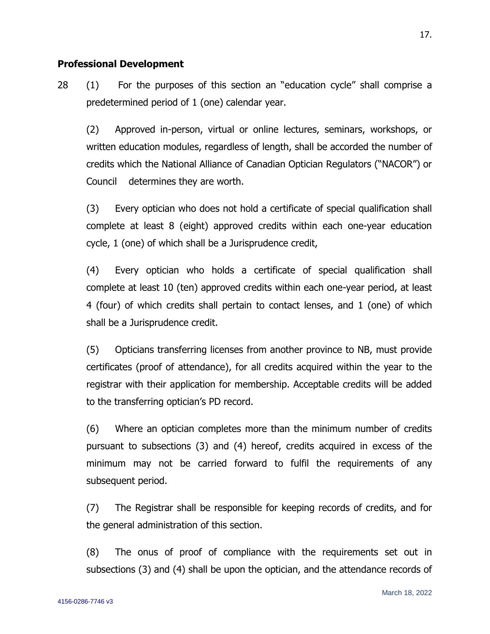#### **Professional Development**

28 (1) For the purposes of this section an "education cycle" shall comprise a predetermined period of 1 (one) calendar year.

(2) Approved in-person, virtual or online lectures, seminars, workshops, or written education modules, regardless of length, shall be accorded the number of credits which the National Alliance of Canadian Optician Regulators ("NACOR") or Council determines they are worth.

(3) Every optician who does not hold a certificate of special qualification shall complete at least 8 (eight) approved credits within each one-year education cycle, 1 (one) of which shall be a Jurisprudence credit,

(4) Every optician who holds a certificate of special qualification shall complete at least 10 (ten) approved credits within each one-year period, at least 4 (four) of which credits shall pertain to contact lenses, and 1 (one) of which shall be a Jurisprudence credit.

(5) Opticians transferring licenses from another province to NB, must provide certificates (proof of attendance), for all credits acquired within the year to the registrar with their application for membership. Acceptable credits will be added to the transferring optician's PD record.

(6) Where an optician completes more than the minimum number of credits pursuant to subsections (3) and (4) hereof, credits acquired in excess of the minimum may not be carried forward to fulfil the requirements of any subsequent period.

(7) The Registrar shall be responsible for keeping records of credits, and for the general administration of this section.

(8) The onus of proof of compliance with the requirements set out in subsections (3) and (4) shall be upon the optician, and the attendance records of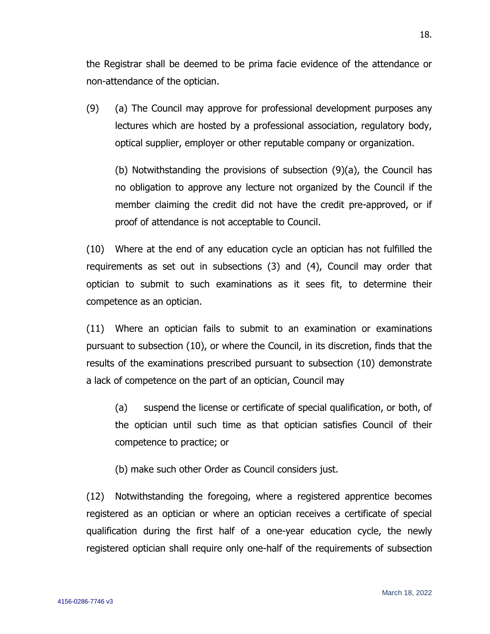the Registrar shall be deemed to be prima facie evidence of the attendance or non-attendance of the optician.

(9) (a) The Council may approve for professional development purposes any lectures which are hosted by a professional association, regulatory body, optical supplier, employer or other reputable company or organization.

(b) Notwithstanding the provisions of subsection (9)(a), the Council has no obligation to approve any lecture not organized by the Council if the member claiming the credit did not have the credit pre-approved, or if proof of attendance is not acceptable to Council.

(10) Where at the end of any education cycle an optician has not fulfilled the requirements as set out in subsections (3) and (4), Council may order that optician to submit to such examinations as it sees fit, to determine their competence as an optician.

(11) Where an optician fails to submit to an examination or examinations pursuant to subsection (10), or where the Council, in its discretion, finds that the results of the examinations prescribed pursuant to subsection (10) demonstrate a lack of competence on the part of an optician, Council may

(a) suspend the license or certificate of special qualification, or both, of the optician until such time as that optician satisfies Council of their competence to practice; or

(b) make such other Order as Council considers just.

(12) Notwithstanding the foregoing, where a registered apprentice becomes registered as an optician or where an optician receives a certificate of special qualification during the first half of a one-year education cycle, the newly registered optician shall require only one-half of the requirements of subsection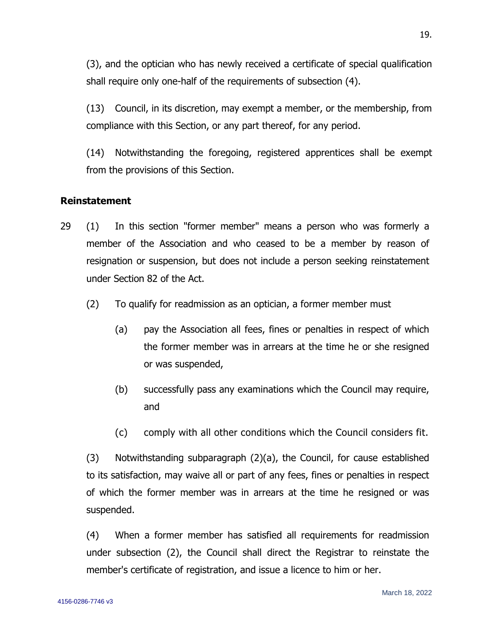(3), and the optician who has newly received a certificate of special qualification shall require only one-half of the requirements of subsection (4).

(13) Council, in its discretion, may exempt a member, or the membership, from compliance with this Section, or any part thereof, for any period.

(14) Notwithstanding the foregoing, registered apprentices shall be exempt from the provisions of this Section.

# **Reinstatement**

- 29 (1) In this section "former member" means a person who was formerly a member of the Association and who ceased to be a member by reason of resignation or suspension, but does not include a person seeking reinstatement under Section 82 of the Act.
	- (2) To qualify for readmission as an optician, a former member must
		- (a) pay the Association all fees, fines or penalties in respect of which the former member was in arrears at the time he or she resigned or was suspended,
		- (b) successfully pass any examinations which the Council may require, and
		- (c) comply with all other conditions which the Council considers fit.

(3) Notwithstanding subparagraph (2)(a), the Council, for cause established to its satisfaction, may waive all or part of any fees, fines or penalties in respect of which the former member was in arrears at the time he resigned or was suspended.

(4) When a former member has satisfied all requirements for readmission under subsection (2), the Council shall direct the Registrar to reinstate the member's certificate of registration, and issue a licence to him or her.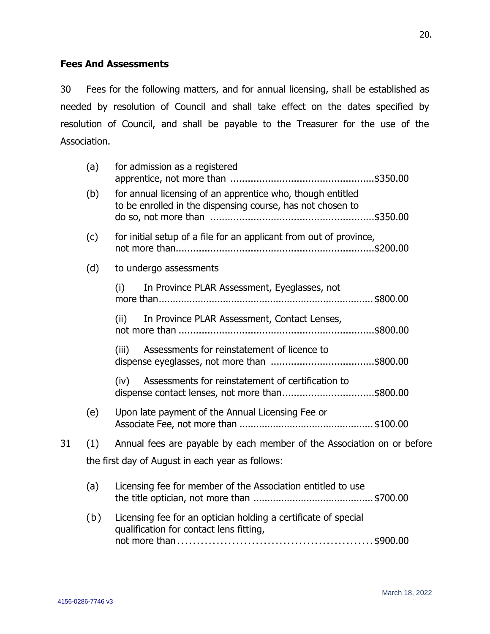# **Fees And Assessments**

30 Fees for the following matters, and for annual licensing, shall be established as needed by resolution of Council and shall take effect on the dates specified by resolution of Council, and shall be payable to the Treasurer for the use of the Association.

|    | (a)                                              | for admission as a registered                                                                                            |  |  |
|----|--------------------------------------------------|--------------------------------------------------------------------------------------------------------------------------|--|--|
|    | (b)                                              | for annual licensing of an apprentice who, though entitled<br>to be enrolled in the dispensing course, has not chosen to |  |  |
|    | (c)                                              | for initial setup of a file for an applicant from out of province,                                                       |  |  |
|    | (d)                                              | to undergo assessments                                                                                                   |  |  |
|    |                                                  | In Province PLAR Assessment, Eyeglasses, not<br>(i)                                                                      |  |  |
|    |                                                  | In Province PLAR Assessment, Contact Lenses,<br>(ii)                                                                     |  |  |
|    |                                                  | Assessments for reinstatement of licence to<br>(iii)                                                                     |  |  |
|    |                                                  | Assessments for reinstatement of certification to<br>(iv)<br>dispense contact lenses, not more than\$800.00              |  |  |
|    | (e)                                              | Upon late payment of the Annual Licensing Fee or                                                                         |  |  |
| 31 | (1)                                              | Annual fees are payable by each member of the Association on or before                                                   |  |  |
|    | the first day of August in each year as follows: |                                                                                                                          |  |  |
|    | (a)                                              | Licensing fee for member of the Association entitled to use                                                              |  |  |
|    | (b)                                              | Licensing fee for an optician holding a certificate of special<br>qualification for contact lens fitting,                |  |  |
|    |                                                  |                                                                                                                          |  |  |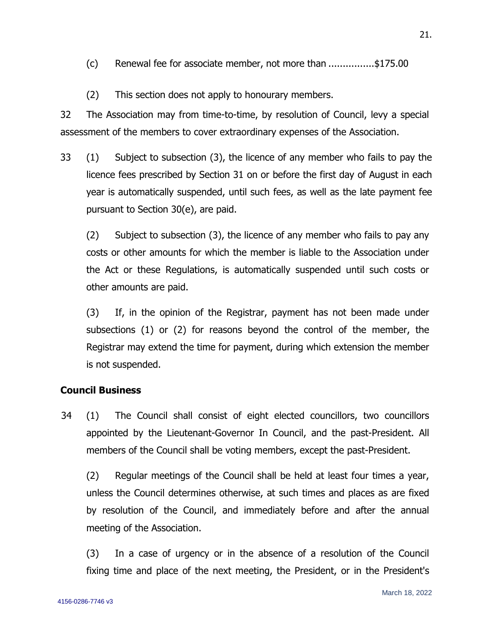- (c) Renewal fee for associate member, not more than ................\$175.00
- (2) This section does not apply to honourary members.

32 The Association may from time-to-time, by resolution of Council, levy a special assessment of the members to cover extraordinary expenses of the Association.

33 (1) Subject to subsection (3), the licence of any member who fails to pay the licence fees prescribed by Section 31 on or before the first day of August in each year is automatically suspended, until such fees, as well as the late payment fee pursuant to Section 30(e), are paid.

(2) Subject to subsection (3), the licence of any member who fails to pay any costs or other amounts for which the member is liable to the Association under the Act or these Regulations, is automatically suspended until such costs or other amounts are paid.

(3) If, in the opinion of the Registrar, payment has not been made under subsections (1) or (2) for reasons beyond the control of the member, the Registrar may extend the time for payment, during which extension the member is not suspended.

### **Council Business**

34 (1) The Council shall consist of eight elected councillors, two councillors appointed by the Lieutenant-Governor In Council, and the past-President. All members of the Council shall be voting members, except the past-President.

(2) Regular meetings of the Council shall be held at least four times a year, unless the Council determines otherwise, at such times and places as are fixed by resolution of the Council, and immediately before and after the annual meeting of the Association.

(3) In a case of urgency or in the absence of a resolution of the Council fixing time and place of the next meeting, the President, or in the President's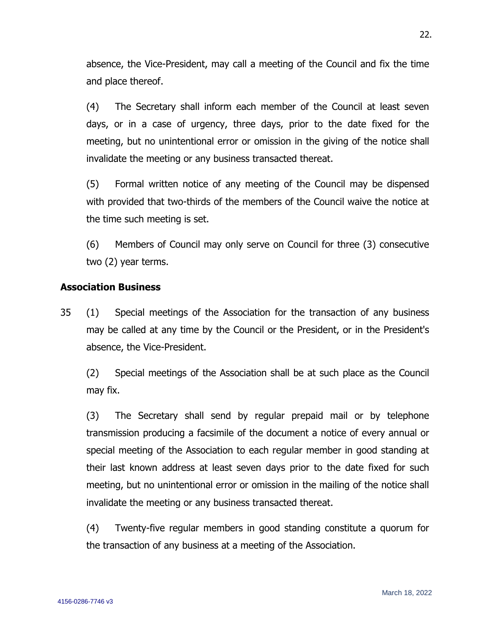absence, the Vice-President, may call a meeting of the Council and fix the time and place thereof.

(4) The Secretary shall inform each member of the Council at least seven days, or in a case of urgency, three days, prior to the date fixed for the meeting, but no unintentional error or omission in the giving of the notice shall invalidate the meeting or any business transacted thereat.

(5) Formal written notice of any meeting of the Council may be dispensed with provided that two-thirds of the members of the Council waive the notice at the time such meeting is set.

(6) Members of Council may only serve on Council for three (3) consecutive two (2) year terms.

### **Association Business**

35 (1) Special meetings of the Association for the transaction of any business may be called at any time by the Council or the President, or in the President's absence, the Vice-President.

(2) Special meetings of the Association shall be at such place as the Council may fix.

(3) The Secretary shall send by regular prepaid mail or by telephone transmission producing a facsimile of the document a notice of every annual or special meeting of the Association to each regular member in good standing at their last known address at least seven days prior to the date fixed for such meeting, but no unintentional error or omission in the mailing of the notice shall invalidate the meeting or any business transacted thereat.

(4) Twenty-five regular members in good standing constitute a quorum for the transaction of any business at a meeting of the Association.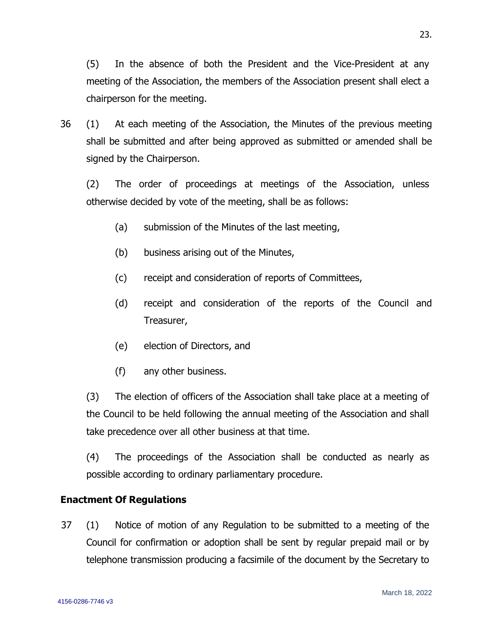(5) In the absence of both the President and the Vice-President at any meeting of the Association, the members of the Association present shall elect a chairperson for the meeting.

36 (1) At each meeting of the Association, the Minutes of the previous meeting shall be submitted and after being approved as submitted or amended shall be signed by the Chairperson.

(2) The order of proceedings at meetings of the Association, unless otherwise decided by vote of the meeting, shall be as follows:

- (a) submission of the Minutes of the last meeting,
- (b) business arising out of the Minutes,
- (c) receipt and consideration of reports of Committees,
- (d) receipt and consideration of the reports of the Council and Treasurer,
- (e) election of Directors, and
- (f) any other business.

(3) The election of officers of the Association shall take place at a meeting of the Council to be held following the annual meeting of the Association and shall take precedence over all other business at that time.

(4) The proceedings of the Association shall be conducted as nearly as possible according to ordinary parliamentary procedure.

# **Enactment Of Regulations**

37 (1) Notice of motion of any Regulation to be submitted to a meeting of the Council for confirmation or adoption shall be sent by regular prepaid mail or by telephone transmission producing a facsimile of the document by the Secretary to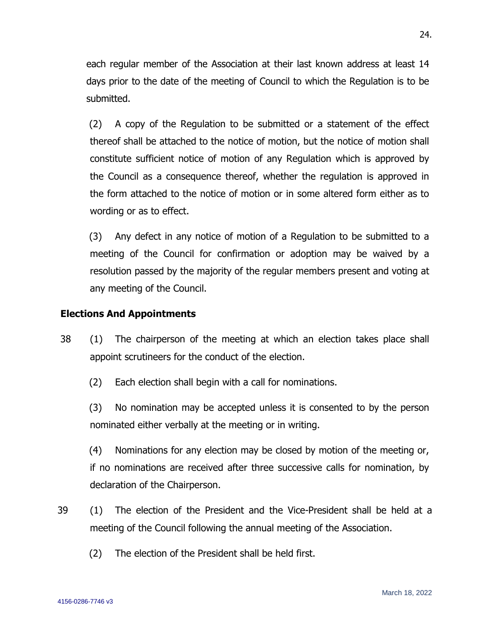each regular member of the Association at their last known address at least 14 days prior to the date of the meeting of Council to which the Regulation is to be submitted.

(2) A copy of the Regulation to be submitted or a statement of the effect thereof shall be attached to the notice of motion, but the notice of motion shall constitute sufficient notice of motion of any Regulation which is approved by the Council as a consequence thereof, whether the regulation is approved in the form attached to the notice of motion or in some altered form either as to wording or as to effect.

(3) Any defect in any notice of motion of a Regulation to be submitted to a meeting of the Council for confirmation or adoption may be waived by a resolution passed by the majority of the regular members present and voting at any meeting of the Council.

#### **Elections And Appointments**

- 38 (1) The chairperson of the meeting at which an election takes place shall appoint scrutineers for the conduct of the election.
	- (2) Each election shall begin with a call for nominations.

(3) No nomination may be accepted unless it is consented to by the person nominated either verbally at the meeting or in writing.

(4) Nominations for any election may be closed by motion of the meeting or, if no nominations are received after three successive calls for nomination, by declaration of the Chairperson.

- 39 (1) The election of the President and the Vice-President shall be held at a meeting of the Council following the annual meeting of the Association.
	- (2) The election of the President shall be held first.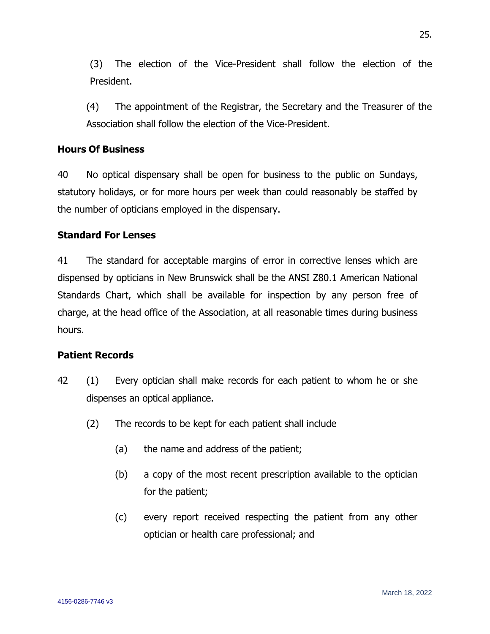(3) The election of the Vice-President shall follow the election of the President.

(4) The appointment of the Registrar, the Secretary and the Treasurer of the Association shall follow the election of the Vice-President.

## **Hours Of Business**

40 No optical dispensary shall be open for business to the public on Sundays, statutory holidays, or for more hours per week than could reasonably be staffed by the number of opticians employed in the dispensary.

# **Standard For Lenses**

41 The standard for acceptable margins of error in corrective lenses which are dispensed by opticians in New Brunswick shall be the ANSI Z80.1 American National Standards Chart, which shall be available for inspection by any person free of charge, at the head office of the Association, at all reasonable times during business hours.

### **Patient Records**

- 42 (1) Every optician shall make records for each patient to whom he or she dispenses an optical appliance.
	- (2) The records to be kept for each patient shall include
		- (a) the name and address of the patient;
		- (b) a copy of the most recent prescription available to the optician for the patient;
		- (c) every report received respecting the patient from any other optician or health care professional; and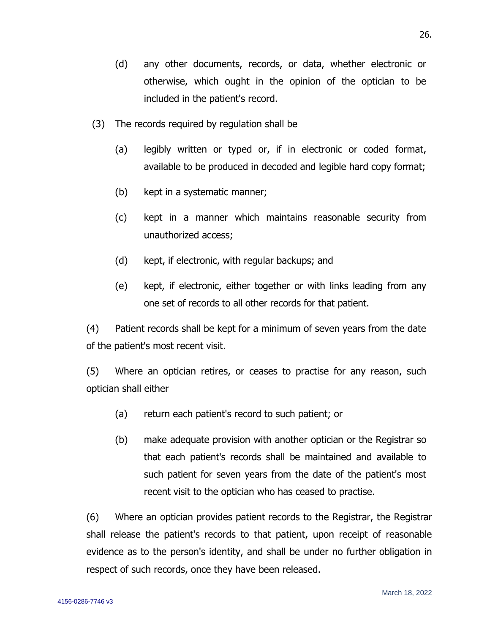- (d) any other documents, records, or data, whether electronic or otherwise, which ought in the opinion of the optician to be included in the patient's record.
- (3) The records required by regulation shall be
	- (a) legibly written or typed or, if in electronic or coded format, available to be produced in decoded and legible hard copy format;
	- (b) kept in a systematic manner;
	- (c) kept in a manner which maintains reasonable security from unauthorized access;
	- (d) kept, if electronic, with regular backups; and
	- (e) kept, if electronic, either together or with links leading from any one set of records to all other records for that patient.

(4) Patient records shall be kept for a minimum of seven years from the date of the patient's most recent visit.

(5) Where an optician retires, or ceases to practise for any reason, such optician shall either

- (a) return each patient's record to such patient; or
- (b) make adequate provision with another optician or the Registrar so that each patient's records shall be maintained and available to such patient for seven years from the date of the patient's most recent visit to the optician who has ceased to practise.

(6) Where an optician provides patient records to the Registrar, the Registrar shall release the patient's records to that patient, upon receipt of reasonable evidence as to the person's identity, and shall be under no further obligation in respect of such records, once they have been released.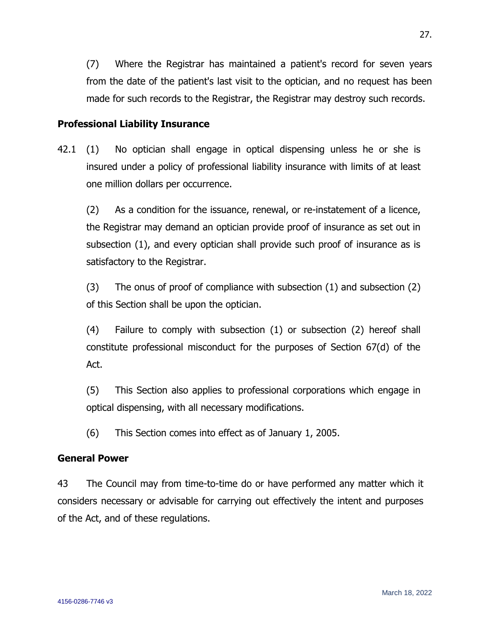(7) Where the Registrar has maintained a patient's record for seven years from the date of the patient's last visit to the optician, and no request has been made for such records to the Registrar, the Registrar may destroy such records.

# **Professional Liability Insurance**

42.1 (1) No optician shall engage in optical dispensing unless he or she is insured under a policy of professional liability insurance with limits of at least one million dollars per occurrence.

(2) As a condition for the issuance, renewal, or re-instatement of a licence, the Registrar may demand an optician provide proof of insurance as set out in subsection (1), and every optician shall provide such proof of insurance as is satisfactory to the Registrar.

(3) The onus of proof of compliance with subsection (1) and subsection (2) of this Section shall be upon the optician.

(4) Failure to comply with subsection (1) or subsection (2) hereof shall constitute professional misconduct for the purposes of Section 67(d) of the Act.

(5) This Section also applies to professional corporations which engage in optical dispensing, with all necessary modifications.

(6) This Section comes into effect as of January 1, 2005.

### **General Power**

4156-0286-7746 v3

43 The Council may from time-to-time do or have performed any matter which it considers necessary or advisable for carrying out effectively the intent and purposes of the Act, and of these regulations.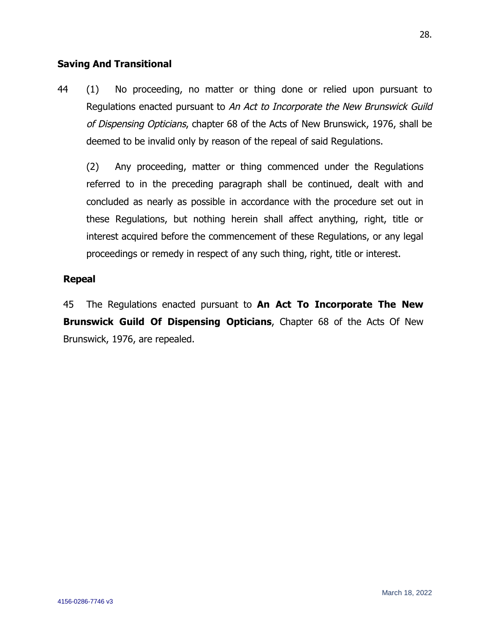# **Saving And Transitional**

44 (1) No proceeding, no matter or thing done or relied upon pursuant to Regulations enacted pursuant to An Act to Incorporate the New Brunswick Guild of Dispensing Opticians, chapter 68 of the Acts of New Brunswick, 1976, shall be deemed to be invalid only by reason of the repeal of said Regulations.

(2) Any proceeding, matter or thing commenced under the Regulations referred to in the preceding paragraph shall be continued, dealt with and concluded as nearly as possible in accordance with the procedure set out in these Regulations, but nothing herein shall affect anything, right, title or interest acquired before the commencement of these Regulations, or any legal proceedings or remedy in respect of any such thing, right, title or interest.

### **Repeal**

45 The Regulations enacted pursuant to **An Act To Incorporate The New Brunswick Guild Of Dispensing Opticians**, Chapter 68 of the Acts Of New Brunswick, 1976, are repealed.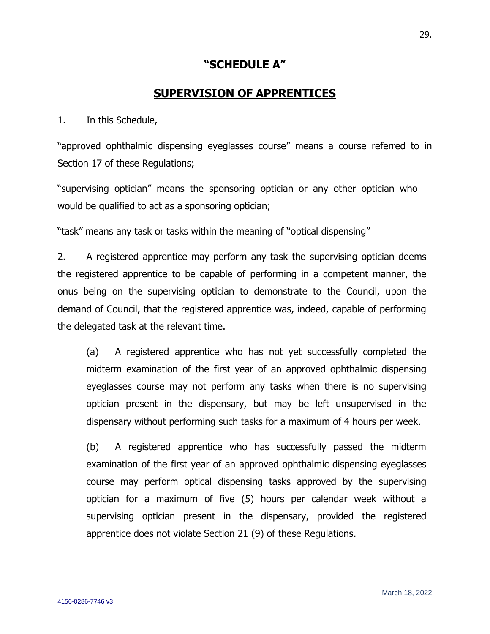# **"SCHEDULE A"**

# **SUPERVISION OF APPRENTICES**

1. In this Schedule,

"approved ophthalmic dispensing eyeglasses course" means a course referred to in Section 17 of these Regulations;

"supervising optician" means the sponsoring optician or any other optician who would be qualified to act as a sponsoring optician;

"task" means any task or tasks within the meaning of "optical dispensing"

2. A registered apprentice may perform any task the supervising optician deems the registered apprentice to be capable of performing in a competent manner, the onus being on the supervising optician to demonstrate to the Council, upon the demand of Council, that the registered apprentice was, indeed, capable of performing the delegated task at the relevant time.

(a) A registered apprentice who has not yet successfully completed the midterm examination of the first year of an approved ophthalmic dispensing eyeglasses course may not perform any tasks when there is no supervising optician present in the dispensary, but may be left unsupervised in the dispensary without performing such tasks for a maximum of 4 hours per week.

(b) A registered apprentice who has successfully passed the midterm examination of the first year of an approved ophthalmic dispensing eyeglasses course may perform optical dispensing tasks approved by the supervising optician for a maximum of five (5) hours per calendar week without a supervising optician present in the dispensary, provided the registered apprentice does not violate Section 21 (9) of these Regulations.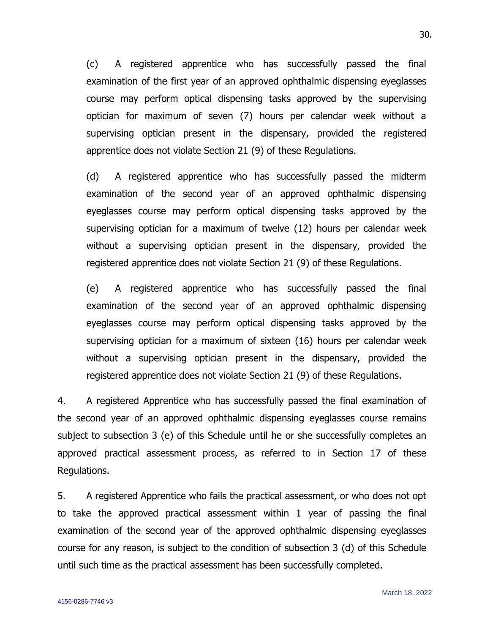(c) A registered apprentice who has successfully passed the final examination of the first year of an approved ophthalmic dispensing eyeglasses course may perform optical dispensing tasks approved by the supervising optician for maximum of seven (7) hours per calendar week without a supervising optician present in the dispensary, provided the registered apprentice does not violate Section 21 (9) of these Regulations.

(d) A registered apprentice who has successfully passed the midterm examination of the second year of an approved ophthalmic dispensing eyeglasses course may perform optical dispensing tasks approved by the supervising optician for a maximum of twelve (12) hours per calendar week without a supervising optician present in the dispensary, provided the registered apprentice does not violate Section 21 (9) of these Regulations.

(e) A registered apprentice who has successfully passed the final examination of the second year of an approved ophthalmic dispensing eyeglasses course may perform optical dispensing tasks approved by the supervising optician for a maximum of sixteen (16) hours per calendar week without a supervising optician present in the dispensary, provided the registered apprentice does not violate Section 21 (9) of these Regulations.

4. A registered Apprentice who has successfully passed the final examination of the second year of an approved ophthalmic dispensing eyeglasses course remains subject to subsection 3 (e) of this Schedule until he or she successfully completes an approved practical assessment process, as referred to in Section 17 of these Regulations.

5. A registered Apprentice who fails the practical assessment, or who does not opt to take the approved practical assessment within 1 year of passing the final examination of the second year of the approved ophthalmic dispensing eyeglasses course for any reason, is subject to the condition of subsection 3 (d) of this Schedule until such time as the practical assessment has been successfully completed.